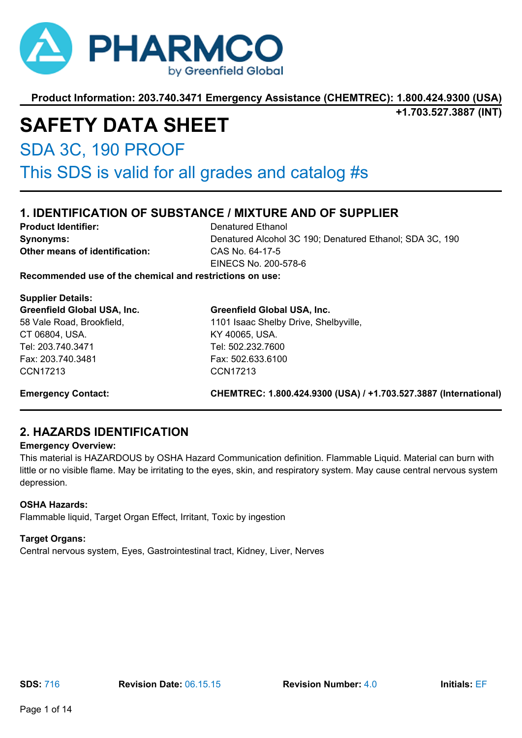

**+1.703.527.3887 (INT)**

# **SAFETY DATA SHEET**

SDA 3C, 190 PROOF

This SDS is valid for all grades and catalog #s

# **1. IDENTIFICATION OF SUBSTANCE / MIXTURE AND OF SUPPLIER**

**Product Identifier:** Denatured Ethanol **Other means of identification:** CAS No. 64-17-5

**Synonyms:** Denatured Alcohol 3C 190; Denatured Ethanol; SDA 3C, 190 EINECS No. 200-578-6

**Recommended use of the chemical and restrictions on use:**

**Supplier Details: Greenfield Global USA, Inc.** 58 Vale Road, Brookfield, CT 06804, USA. Tel: 203.740.3471 Fax: 203.740.3481 CCN17213

**Greenfield Global USA, Inc.** 1101 Isaac Shelby Drive, Shelbyville, KY 40065, USA. Tel: 502.232.7600 Fax: 502.633.6100 CCN17213

**Emergency Contact: CHEMTREC: 1.800.424.9300 (USA) / +1.703.527.3887 (International)**

# **2. HAZARDS IDENTIFICATION**

#### **Emergency Overview:**

This material is HAZARDOUS by OSHA Hazard Communication definition. Flammable Liquid. Material can burn with little or no visible flame. May be irritating to the eyes, skin, and respiratory system. May cause central nervous system depression.

#### **OSHA Hazards:**

Flammable liquid, Target Organ Effect, Irritant, Toxic by ingestion

#### **Target Organs:**

Central nervous system, Eyes, Gastrointestinal tract, Kidney, Liver, Nerves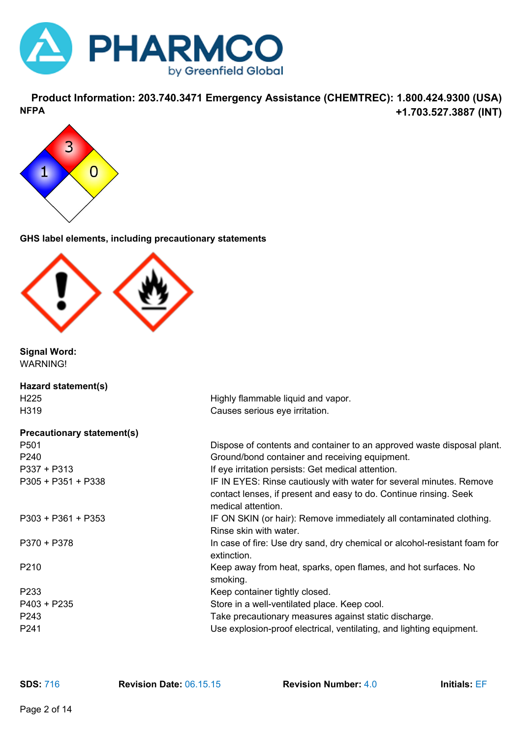

**Product Information: 203.740.3471 Emergency Assistance (CHEMTREC): 1.800.424.9300 (USA) +1.703.527.3887 (INT) NFPA**



**GHS label elements, including precautionary statements**



**Signal Word:** WARNING!

| Hazard statement(s)               |                                                                                                                                                                |
|-----------------------------------|----------------------------------------------------------------------------------------------------------------------------------------------------------------|
| H <sub>225</sub>                  | Highly flammable liquid and vapor.                                                                                                                             |
| H319                              | Causes serious eye irritation.                                                                                                                                 |
| <b>Precautionary statement(s)</b> |                                                                                                                                                                |
| P <sub>501</sub>                  | Dispose of contents and container to an approved waste disposal plant.                                                                                         |
| P240                              | Ground/bond container and receiving equipment.                                                                                                                 |
| $P337 + P313$                     | If eye irritation persists: Get medical attention.                                                                                                             |
| P305 + P351 + P338                | IF IN EYES: Rinse cautiously with water for several minutes. Remove<br>contact lenses, if present and easy to do. Continue rinsing. Seek<br>medical attention. |
| P303 + P361 + P353                | IF ON SKIN (or hair): Remove immediately all contaminated clothing.<br>Rinse skin with water.                                                                  |
| $P370 + P378$                     | In case of fire: Use dry sand, dry chemical or alcohol-resistant foam for<br>extinction.                                                                       |
| P <sub>2</sub> 10                 | Keep away from heat, sparks, open flames, and hot surfaces. No<br>smoking.                                                                                     |
| P233                              | Keep container tightly closed.                                                                                                                                 |
| $P403 + P235$                     | Store in a well-ventilated place. Keep cool.                                                                                                                   |
| P243                              | Take precautionary measures against static discharge.                                                                                                          |
| P241                              | Use explosion-proof electrical, ventilating, and lighting equipment.                                                                                           |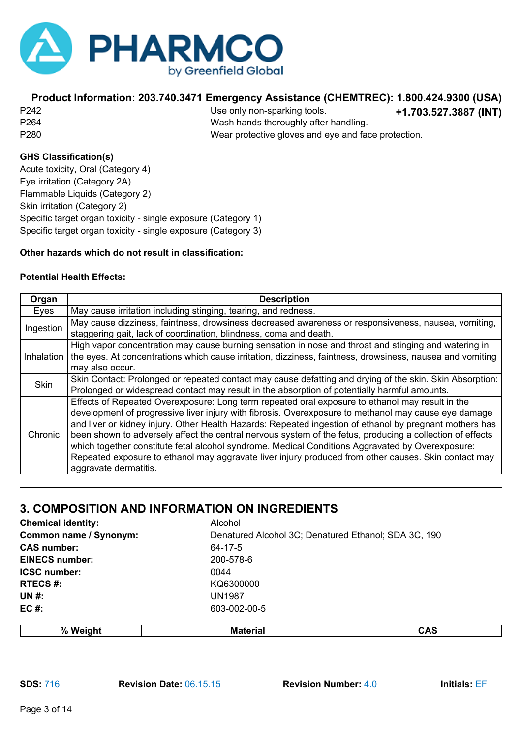

**+1.703.527.3887 (INT)** P242 Use only non-sparking tools. P264 Wash hands thoroughly after handling. P280 Wear protective gloves and eye and face protection.

### **GHS Classification(s)**

Acute toxicity, Oral (Category 4) Eye irritation (Category 2A) Flammable Liquids (Category 2) Skin irritation (Category 2) Specific target organ toxicity - single exposure (Category 1) Specific target organ toxicity - single exposure (Category 3)

#### **Other hazards which do not result in classification:**

#### **Potential Health Effects:**

| Organ       | <b>Description</b>                                                                                                                                                                                                                                                                                                                                                                                                                                                                                                                                                                                                                                                   |
|-------------|----------------------------------------------------------------------------------------------------------------------------------------------------------------------------------------------------------------------------------------------------------------------------------------------------------------------------------------------------------------------------------------------------------------------------------------------------------------------------------------------------------------------------------------------------------------------------------------------------------------------------------------------------------------------|
| Eyes        | May cause irritation including stinging, tearing, and redness.                                                                                                                                                                                                                                                                                                                                                                                                                                                                                                                                                                                                       |
| Ingestion   | May cause dizziness, faintness, drowsiness decreased awareness or responsiveness, nausea, vomiting,<br>staggering gait, lack of coordination, blindness, coma and death.                                                                                                                                                                                                                                                                                                                                                                                                                                                                                             |
| Inhalation  | High vapor concentration may cause burning sensation in nose and throat and stinging and watering in<br>the eyes. At concentrations which cause irritation, dizziness, faintness, drowsiness, nausea and vomiting<br>may also occur.                                                                                                                                                                                                                                                                                                                                                                                                                                 |
| <b>Skin</b> | Skin Contact: Prolonged or repeated contact may cause defatting and drying of the skin. Skin Absorption:<br>Prolonged or widespread contact may result in the absorption of potentially harmful amounts.                                                                                                                                                                                                                                                                                                                                                                                                                                                             |
| Chronic     | Effects of Repeated Overexposure: Long term repeated oral exposure to ethanol may result in the<br>development of progressive liver injury with fibrosis. Overexposure to methanol may cause eye damage<br>and liver or kidney injury. Other Health Hazards: Repeated ingestion of ethanol by pregnant mothers has<br>been shown to adversely affect the central nervous system of the fetus, producing a collection of effects<br>which together constitute fetal alcohol syndrome. Medical Conditions Aggravated by Overexposure:<br>Repeated exposure to ethanol may aggravate liver injury produced from other causes. Skin contact may<br>aggravate dermatitis. |

# **3. COMPOSITION AND INFORMATION ON INGREDIENTS**

| <b>Chemical identity:</b> | Alcohol                                              |
|---------------------------|------------------------------------------------------|
| Common name / Synonym:    | Denatured Alcohol 3C; Denatured Ethanol; SDA 3C, 190 |
| <b>CAS number:</b>        | 64-17-5                                              |
| <b>EINECS number:</b>     | 200-578-6                                            |
| <b>ICSC number:</b>       | 0044                                                 |
| <b>RTECS#:</b>            | KQ6300000                                            |
| <b>UN#:</b>               | <b>UN1987</b>                                        |
| $EC#$ :                   | 603-002-00-5                                         |
|                           |                                                      |

| 07<br>m<br>$\sqrt{2}$ |  |
|-----------------------|--|
|                       |  |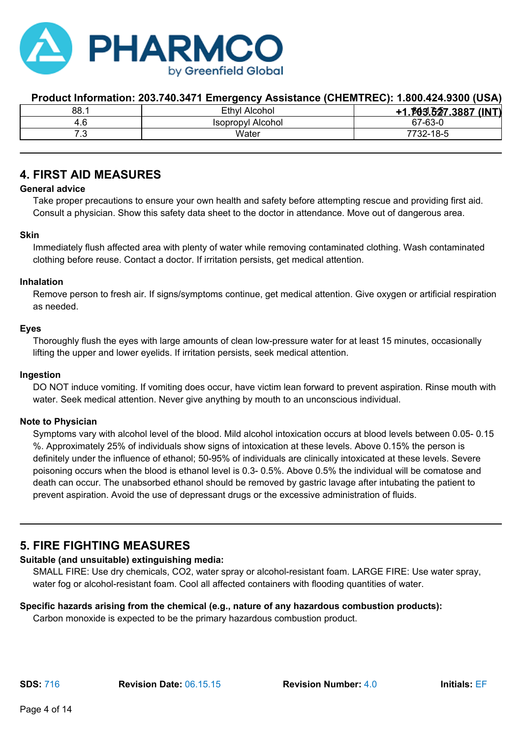

| 88.1 | Ethyl Alcohol     | .003.627.3887 (INT) |
|------|-------------------|---------------------|
| 1.O  | Isopropyl Alcohol | 67-63-0             |
| . ت  | Water             | 7732-18-5           |
|      |                   |                     |

### **4. FIRST AID MEASURES**

#### **General advice**

Take proper precautions to ensure your own health and safety before attempting rescue and providing first aid. Consult a physician. Show this safety data sheet to the doctor in attendance. Move out of dangerous area.

#### **Skin**

Immediately flush affected area with plenty of water while removing contaminated clothing. Wash contaminated clothing before reuse. Contact a doctor. If irritation persists, get medical attention.

#### **Inhalation**

Remove person to fresh air. If signs/symptoms continue, get medical attention. Give oxygen or artificial respiration as needed.

#### **Eyes**

Thoroughly flush the eyes with large amounts of clean low-pressure water for at least 15 minutes, occasionally lifting the upper and lower eyelids. If irritation persists, seek medical attention.

#### **Ingestion**

DO NOT induce vomiting. If vomiting does occur, have victim lean forward to prevent aspiration. Rinse mouth with water. Seek medical attention. Never give anything by mouth to an unconscious individual.

#### **Note to Physician**

Symptoms vary with alcohol level of the blood. Mild alcohol intoxication occurs at blood levels between 0.05- 0.15 %. Approximately 25% of individuals show signs of intoxication at these levels. Above 0.15% the person is definitely under the influence of ethanol; 50-95% of individuals are clinically intoxicated at these levels. Severe poisoning occurs when the blood is ethanol level is 0.3- 0.5%. Above 0.5% the individual will be comatose and death can occur. The unabsorbed ethanol should be removed by gastric lavage after intubating the patient to prevent aspiration. Avoid the use of depressant drugs or the excessive administration of fluids.

### **5. FIRE FIGHTING MEASURES**

### **Suitable (and unsuitable) extinguishing media:**

SMALL FIRE: Use dry chemicals, CO2, water spray or alcohol-resistant foam. LARGE FIRE: Use water spray, water fog or alcohol-resistant foam. Cool all affected containers with flooding quantities of water.

### **Specific hazards arising from the chemical (e.g., nature of any hazardous combustion products):**

Carbon monoxide is expected to be the primary hazardous combustion product.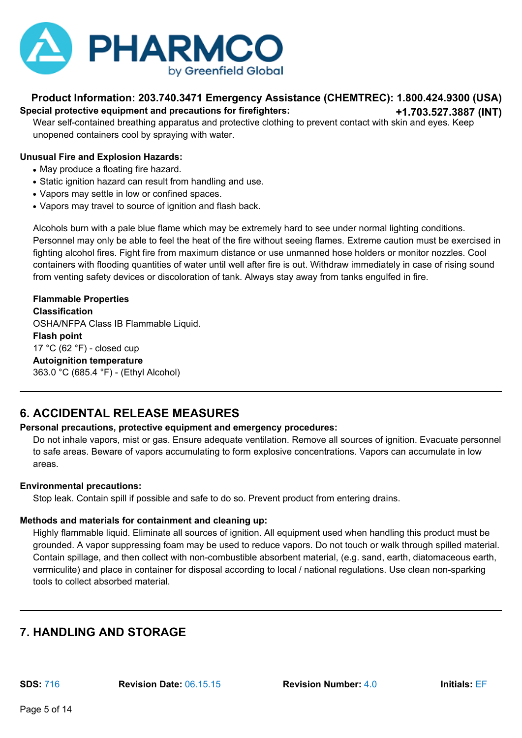

#### **Product Information: 203.740.3471 Emergency Assistance (CHEMTREC): 1.800.424.9300 (USA) +1.703.527.3887 (INT) Special protective equipment and precautions for firefighters:**

Wear self-contained breathing apparatus and protective clothing to prevent contact with skin and eyes. Keep unopened containers cool by spraying with water.

#### **Unusual Fire and Explosion Hazards:**

- May produce a floating fire hazard.
- Static ignition hazard can result from handling and use.
- Vapors may settle in low or confined spaces.
- Vapors may travel to source of ignition and flash back.

Alcohols burn with a pale blue flame which may be extremely hard to see under normal lighting conditions. Personnel may only be able to feel the heat of the fire without seeing flames. Extreme caution must be exercised in fighting alcohol fires. Fight fire from maximum distance or use unmanned hose holders or monitor nozzles. Cool containers with flooding quantities of water until well after fire is out. Withdraw immediately in case of rising sound from venting safety devices or discoloration of tank. Always stay away from tanks engulfed in fire.

**Flammable Properties Classification** OSHA/NFPA Class IB Flammable Liquid. **Flash point** 17 °C (62 °F) - closed cup **Autoignition temperature** 363.0 °C (685.4 °F) - (Ethyl Alcohol)

# **6. ACCIDENTAL RELEASE MEASURES**

#### **Personal precautions, protective equipment and emergency procedures:**

Do not inhale vapors, mist or gas. Ensure adequate ventilation. Remove all sources of ignition. Evacuate personnel to safe areas. Beware of vapors accumulating to form explosive concentrations. Vapors can accumulate in low areas.

#### **Environmental precautions:**

Stop leak. Contain spill if possible and safe to do so. Prevent product from entering drains.

#### **Methods and materials for containment and cleaning up:**

Highly flammable liquid. Eliminate all sources of ignition. All equipment used when handling this product must be grounded. A vapor suppressing foam may be used to reduce vapors. Do not touch or walk through spilled material. Contain spillage, and then collect with non-combustible absorbent material, (e.g. sand, earth, diatomaceous earth, vermiculite) and place in container for disposal according to local / national regulations. Use clean non-sparking tools to collect absorbed material.

# **7. HANDLING AND STORAGE**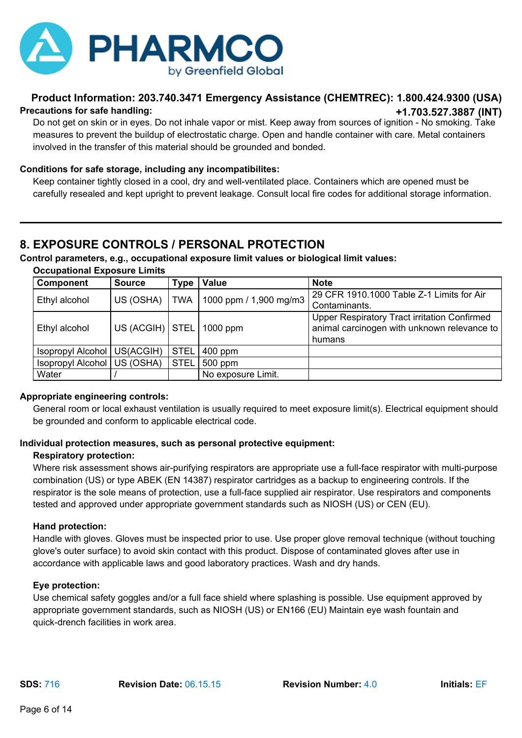

#### **Product Information: 203.740.3471 Emergency Assistance (CHEMTREC): 1.800.424.9300 (USA) +1.703.527.3887 (INT) Precautions for safe handling:**

Do not get on skin or in eyes. Do not inhale vapor or mist. Keep away from sources of ignition - No smoking. Take measures to prevent the buildup of electrostatic charge. Open and handle container with care. Metal containers involved in the transfer of this material should be grounded and bonded.

#### **Conditions for safe storage, including any incompatibilites:**

Keep container tightly closed in a cool, dry and well-ventilated place. Containers which are opened must be carefully resealed and kept upright to prevent leakage. Consult local fire codes for additional storage information.

### **8. EXPOSURE CONTROLS / PERSONAL PROTECTION**

#### **Control parameters, e.g., occupational exposure limit values or biological limit values:**

**Occupational Exposure Limits**

| Component                     | <b>Source</b>                | Type        | <b>Value</b>           | <b>Note</b>                                                                                 |
|-------------------------------|------------------------------|-------------|------------------------|---------------------------------------------------------------------------------------------|
| Ethyl alcohol                 | US (OSHA)                    | <b>TWA</b>  | 1000 ppm / 1,900 mg/m3 | 29 CFR 1910.1000 Table Z-1 Limits for Air<br>Contaminants.                                  |
|                               |                              |             |                        |                                                                                             |
| Ethyl alcohol                 | US (ACGIH)   STEL   1000 ppm |             |                        | Upper Respiratory Tract irritation Confirmed<br>animal carcinogen with unknown relevance to |
|                               |                              |             |                        | humans                                                                                      |
| Isopropyl Alcohol   US(ACGIH) |                              | <b>STEL</b> | $400$ ppm              |                                                                                             |
| Isopropyl Alcohol   US (OSHA) |                              | <b>STEL</b> | 500 ppm                |                                                                                             |
| Water                         |                              |             | No exposure Limit.     |                                                                                             |

#### **Appropriate engineering controls:**

General room or local exhaust ventilation is usually required to meet exposure limit(s). Electrical equipment should be grounded and conform to applicable electrical code.

#### **Individual protection measures, such as personal protective equipment:**

#### **Respiratory protection:**

Where risk assessment shows air-purifying respirators are appropriate use a full-face respirator with multi-purpose combination (US) or type ABEK (EN 14387) respirator cartridges as a backup to engineering controls. If the respirator is the sole means of protection, use a full-face supplied air respirator. Use respirators and components tested and approved under appropriate government standards such as NIOSH (US) or CEN (EU).

#### **Hand protection:**

Handle with gloves. Gloves must be inspected prior to use. Use proper glove removal technique (without touching glove's outer surface) to avoid skin contact with this product. Dispose of contaminated gloves after use in accordance with applicable laws and good laboratory practices. Wash and dry hands.

#### **Eye protection:**

Use chemical safety goggles and/or a full face shield where splashing is possible. Use equipment approved by appropriate government standards, such as NIOSH (US) or EN166 (EU) Maintain eye wash fountain and quick-drench facilities in work area.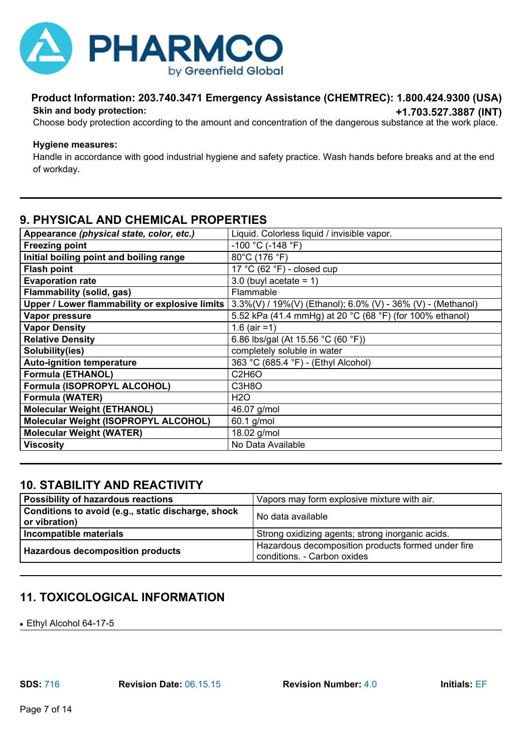

#### **Product Information: 203.740.3471 Emergency Assistance (CHEMTREC): 1.800.424.9300 (USA) +1.703.527.3887 (INT) Skin and body protection:**

Choose body protection according to the amount and concentration of the dangerous substance at the work place.

#### **Hygiene measures:**

Handle in accordance with good industrial hygiene and safety practice. Wash hands before breaks and at the end of workday.

### **9. PHYSICAL AND CHEMICAL PROPERTIES**

| Appearance (physical state, color, etc.)       | Liquid. Colorless liquid / invisible vapor.                     |
|------------------------------------------------|-----------------------------------------------------------------|
| <b>Freezing point</b>                          | -100 °C (-148 °F)                                               |
| Initial boiling point and boiling range        | 80°C (176 °F)                                                   |
| <b>Flash point</b>                             | 17 °C (62 °F) - closed cup                                      |
| <b>Evaporation rate</b>                        | 3.0 (buyl acetate $= 1$ )                                       |
| <b>Flammability (solid, gas)</b>               | Flammable                                                       |
| Upper / Lower flammability or explosive limits | $3.3\%(V) / 19\%(V)$ (Ethanol); 6.0% (V) - 36% (V) - (Methanol) |
| Vapor pressure                                 | 5.52 kPa (41.4 mmHg) at 20 °C (68 °F) (for 100% ethanol)        |
| <b>Vapor Density</b>                           | 1.6 (air = 1)                                                   |
| <b>Relative Density</b>                        | 6.86 lbs/gal (At 15.56 °C (60 °F))                              |
| Solubility(ies)                                | completely soluble in water                                     |
| <b>Auto-ignition temperature</b>               | 363 °C (685.4 °F) - (Ethyl Alcohol)                             |
| <b>Formula (ETHANOL)</b>                       | C <sub>2</sub> H <sub>6</sub> O                                 |
| Formula (ISOPROPYL ALCOHOL)                    | C3H8O                                                           |
| Formula (WATER)                                | <b>H2O</b>                                                      |
| <b>Molecular Weight (ETHANOL)</b>              | 46.07 g/mol                                                     |
| Molecular Weight (ISOPROPYL ALCOHOL)           | 60.1 g/mol                                                      |
| <b>Molecular Weight (WATER)</b>                | 18.02 g/mol                                                     |
| <b>Viscosity</b>                               | No Data Available                                               |

### **10. STABILITY AND REACTIVITY**

| <b>Possibility of hazardous reactions</b>                           | Vapors may form explosive mixture with air.                                       |
|---------------------------------------------------------------------|-----------------------------------------------------------------------------------|
| Conditions to avoid (e.g., static discharge, shock<br>or vibration) | No data available                                                                 |
| Incompatible materials                                              | Strong oxidizing agents; strong inorganic acids.                                  |
| <b>Hazardous decomposition products</b>                             | Hazardous decomposition products formed under fire<br>conditions. - Carbon oxides |

# **11. TOXICOLOGICAL INFORMATION**

• Ethyl Alcohol 64-17-5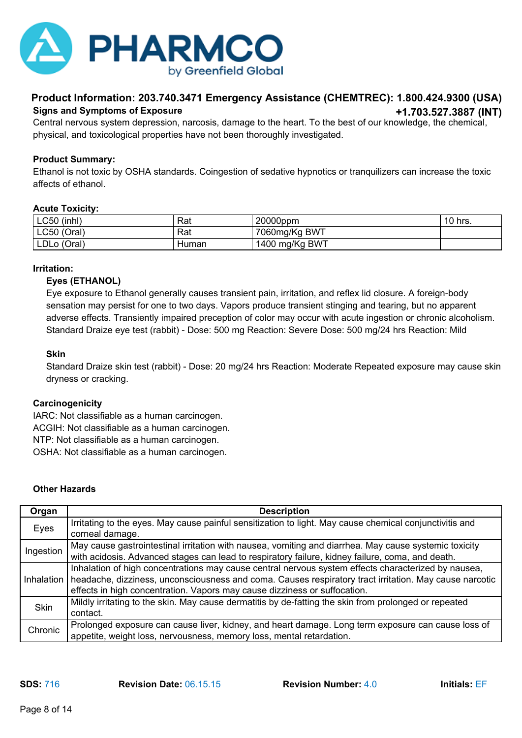

#### **Product Information: 203.740.3471 Emergency Assistance (CHEMTREC): 1.800.424.9300 (USA) +1.703.527.3887 (INT) Signs and Symptoms of Exposure**

Central nervous system depression, narcosis, damage to the heart. To the best of our knowledge, the chemical, physical, and toxicological properties have not been thoroughly investigated.

#### **Product Summary:**

Ethanol is not toxic by OSHA standards. Coingestion of sedative hypnotics or tranquilizers can increase the toxic affects of ethanol.

#### **Acute Toxicity:**

| <b>LC50</b><br>(inhl) | Rat   | 20000ppm       | 10 hrs. |
|-----------------------|-------|----------------|---------|
| <b>LC50</b><br>(Oral) | Rat   | 7060mg/Kg BWT  |         |
| LDLo (Oral)           | Human | 1400 mg/Kg BWT |         |

#### **Irritation:**

#### **Eyes (ETHANOL)**

Eye exposure to Ethanol generally causes transient pain, irritation, and reflex lid closure. A foreign-body sensation may persist for one to two days. Vapors produce transient stinging and tearing, but no apparent adverse effects. Transiently impaired preception of color may occur with acute ingestion or chronic alcoholism. Standard Draize eye test (rabbit) - Dose: 500 mg Reaction: Severe Dose: 500 mg/24 hrs Reaction: Mild

#### **Skin**

Standard Draize skin test (rabbit) - Dose: 20 mg/24 hrs Reaction: Moderate Repeated exposure may cause skin dryness or cracking.

#### **Carcinogenicity**

IARC: Not classifiable as a human carcinogen. ACGIH: Not classifiable as a human carcinogen. NTP: Not classifiable as a human carcinogen. OSHA: Not classifiable as a human carcinogen.

#### **Other Hazards**

| Organ       | <b>Description</b>                                                                                      |
|-------------|---------------------------------------------------------------------------------------------------------|
| Eyes        | Irritating to the eyes. May cause painful sensitization to light. May cause chemical conjunctivitis and |
|             | corneal damage.                                                                                         |
| Ingestion   | May cause gastrointestinal irritation with nausea, vomiting and diarrhea. May cause systemic toxicity   |
|             | with acidosis. Advanced stages can lead to respiratory failure, kidney failure, coma, and death.        |
|             | Inhalation of high concentrations may cause central nervous system effects characterized by nausea,     |
| Inhalation  | headache, dizziness, unconsciousness and coma. Causes respiratory tract irritation. May cause narcotic  |
|             | effects in high concentration. Vapors may cause dizziness or suffocation.                               |
| <b>Skin</b> | Mildly irritating to the skin. May cause dermatitis by de-fatting the skin from prolonged or repeated   |
|             | contact.                                                                                                |
| Chronic     | Prolonged exposure can cause liver, kidney, and heart damage. Long term exposure can cause loss of      |
|             | appetite, weight loss, nervousness, memory loss, mental retardation.                                    |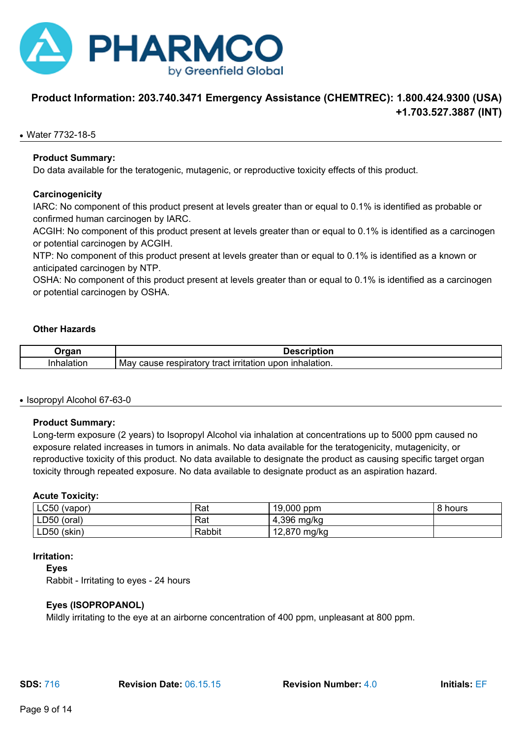

### **Product Information: 203.740.3471 Emergency Assistance (CHEMTREC): 1.800.424.9300 (USA) +1.703.527.3887 (INT)**

#### ● Water 7732-18-5

#### **Product Summary:**

Do data available for the teratogenic, mutagenic, or reproductive toxicity effects of this product.

#### **Carcinogenicity**

IARC: No component of this product present at levels greater than or equal to 0.1% is identified as probable or confirmed human carcinogen by IARC.

ACGIH: No component of this product present at levels greater than or equal to 0.1% is identified as a carcinogen or potential carcinogen by ACGIH.

NTP: No component of this product present at levels greater than or equal to 0.1% is identified as a known or anticipated carcinogen by NTP.

OSHA: No component of this product present at levels greater than or equal to 0.1% is identified as a carcinogen or potential carcinogen by OSHA.

#### **Other Hazards**

| ,,,,,, | ----                                                                                                                                              |
|--------|---------------------------------------------------------------------------------------------------------------------------------------------------|
| ниог   | $\sim$ and a set of $\sim$<br>ınr<br>$ -$<br>upor<br>--<br>----<br>-----<br>Mav<br>resr<br>cause<br>nır<br>malation.<br>raci<br>tation.<br>atory. |

#### ● Isopropyl Alcohol 67-63-0

#### **Product Summary:**

Long-term exposure (2 years) to Isopropyl Alcohol via inhalation at concentrations up to 5000 ppm caused no exposure related increases in tumors in animals. No data available for the teratogenicity, mutagenicity, or reproductive toxicity of this product. No data available to designate the product as causing specific target organ toxicity through repeated exposure. No data available to designate product as an aspiration hazard.

#### **Acute Toxicity:**

| $\textcolor{blue}{\mathsf{L} \mathsf{C} 50}$ (vapor) | Rat    | 19,000 ppm                 | hours |
|------------------------------------------------------|--------|----------------------------|-------|
| $LD50$ (oral)                                        | Rat    | 4,396<br>mg/kg             |       |
| LD50 (skin)                                          | Rabbit | .2,870 mg/kg<br>$\sqrt{2}$ |       |

#### **Irritation:**

**Eyes**

Rabbit - Irritating to eyes - 24 hours

#### **Eyes (ISOPROPANOL)**

Mildly irritating to the eye at an airborne concentration of 400 ppm, unpleasant at 800 ppm.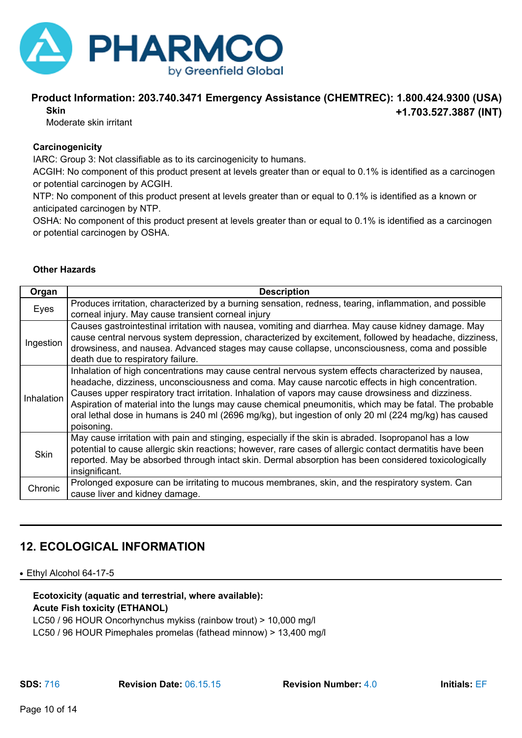

#### **Product Information: 203.740.3471 Emergency Assistance (CHEMTREC): 1.800.424.9300 (USA) +1.703.527.3887 (INT) Skin**

Moderate skin irritant

#### **Carcinogenicity**

IARC: Group 3: Not classifiable as to its carcinogenicity to humans.

ACGIH: No component of this product present at levels greater than or equal to 0.1% is identified as a carcinogen or potential carcinogen by ACGIH.

NTP: No component of this product present at levels greater than or equal to 0.1% is identified as a known or anticipated carcinogen by NTP.

OSHA: No component of this product present at levels greater than or equal to 0.1% is identified as a carcinogen or potential carcinogen by OSHA.

| <b>Other Hazards</b> |
|----------------------|
|                      |

| Organ       | <b>Description</b>                                                                                       |
|-------------|----------------------------------------------------------------------------------------------------------|
| Eyes        | Produces irritation, characterized by a burning sensation, redness, tearing, inflammation, and possible  |
|             | corneal injury. May cause transient corneal injury                                                       |
| Ingestion   | Causes gastrointestinal irritation with nausea, vomiting and diarrhea. May cause kidney damage. May      |
|             | cause central nervous system depression, characterized by excitement, followed by headache, dizziness,   |
|             | drowsiness, and nausea. Advanced stages may cause collapse, unconsciousness, coma and possible           |
|             | death due to respiratory failure.                                                                        |
| Inhalation  | Inhalation of high concentrations may cause central nervous system effects characterized by nausea,      |
|             | headache, dizziness, unconsciousness and coma. May cause narcotic effects in high concentration.         |
|             | Causes upper respiratory tract irritation. Inhalation of vapors may cause drowsiness and dizziness.      |
|             | Aspiration of material into the lungs may cause chemical pneumonitis, which may be fatal. The probable   |
|             | oral lethal dose in humans is 240 ml (2696 mg/kg), but ingestion of only 20 ml (224 mg/kg) has caused    |
|             | poisoning.                                                                                               |
| <b>Skin</b> | May cause irritation with pain and stinging, especially if the skin is abraded. Isopropanol has a low    |
|             | potential to cause allergic skin reactions; however, rare cases of allergic contact dermatitis have been |
|             | reported. May be absorbed through intact skin. Dermal absorption has been considered toxicologically     |
|             | insignificant.                                                                                           |
| Chronic     | Prolonged exposure can be irritating to mucous membranes, skin, and the respiratory system. Can          |
|             | cause liver and kidney damage.                                                                           |
|             |                                                                                                          |

### **12. ECOLOGICAL INFORMATION**

#### • Ethyl Alcohol 64-17-5

#### **Ecotoxicity (aquatic and terrestrial, where available): Acute Fish toxicity (ETHANOL)**

LC50 / 96 HOUR Oncorhynchus mykiss (rainbow trout) > 10,000 mg/l LC50 / 96 HOUR Pimephales promelas (fathead minnow) > 13,400 mg/l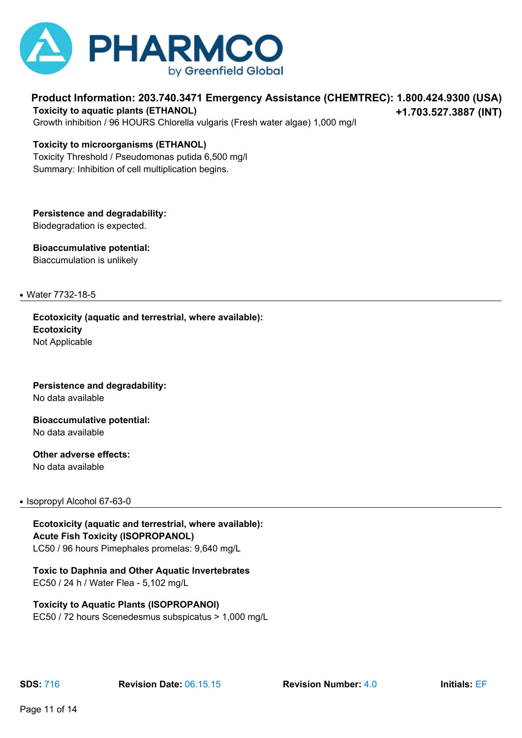

**Product Information: 203.740.3471 Emergency Assistance (CHEMTREC): 1.800.424.9300 (USA) +1.703.527.3887 (INT) Toxicity to aquatic plants (ETHANOL)**

Growth inhibition / 96 HOURS Chlorella vulgaris (Fresh water algae) 1,000 mg/l

#### **Toxicity to microorganisms (ETHANOL)**

Toxicity Threshold / Pseudomonas putida 6,500 mg/l Summary: Inhibition of cell multiplication begins.

**Persistence and degradability:** Biodegradation is expected.

**Bioaccumulative potential:** Biaccumulation is unlikely

● Water 7732-18-5

**Ecotoxicity (aquatic and terrestrial, where available): Ecotoxicity** Not Applicable

**Persistence and degradability:** No data available

**Bioaccumulative potential:** No data available

**Other adverse effects:** No data available

#### • Isopropyl Alcohol 67-63-0

**Ecotoxicity (aquatic and terrestrial, where available): Acute Fish Toxicity (ISOPROPANOL)** LC50 / 96 hours Pimephales promelas: 9,640 mg/L

**Toxic to Daphnia and Other Aquatic Invertebrates**

EC50 / 24 h / Water Flea - 5,102 mg/L

#### **Toxicity to Aquatic Plants (ISOPROPANOl)**

EC50 / 72 hours Scenedesmus subspicatus > 1,000 mg/L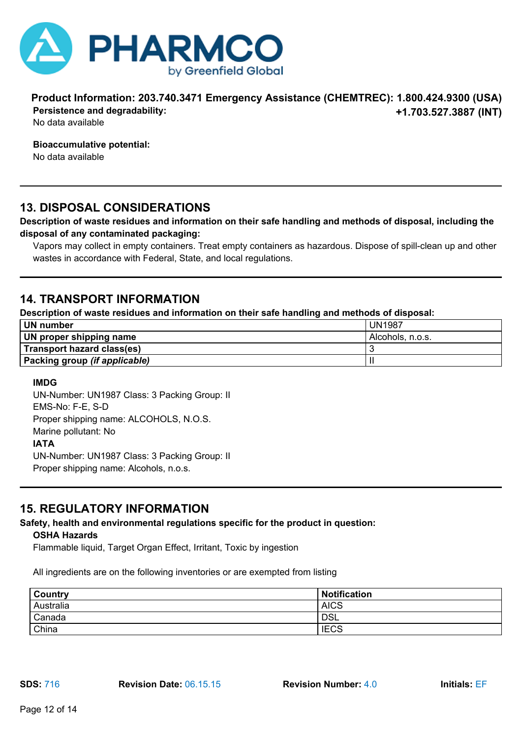

**Product Information: 203.740.3471 Emergency Assistance (CHEMTREC): 1.800.424.9300 (USA) +1.703.527.3887 (INT) Persistence and degradability:**

No data available

**Bioaccumulative potential:**

No data available

### **13. DISPOSAL CONSIDERATIONS**

#### **Description of waste residues and information on their safe handling and methods of disposal, including the disposal of any contaminated packaging:**

Vapors may collect in empty containers. Treat empty containers as hazardous. Dispose of spill-clean up and other wastes in accordance with Federal, State, and local regulations.

### **14. TRANSPORT INFORMATION**

**Description of waste residues and information on their safe handling and methods of disposal:**

| UN number                     | <b>UN1987</b>    |
|-------------------------------|------------------|
| UN proper shipping name       | Alcohols, n.o.s. |
| Transport hazard class(es)    |                  |
| Packing group (if applicable) |                  |

#### **IMDG**

UN-Number: UN1987 Class: 3 Packing Group: II EMS-No: F-E, S-D Proper shipping name: ALCOHOLS, N.O.S. Marine pollutant: No **IATA** UN-Number: UN1987 Class: 3 Packing Group: II Proper shipping name: Alcohols, n.o.s.

### **15. REGULATORY INFORMATION**

# **Safety, health and environmental regulations specific for the product in question:**

**OSHA Hazards**

Flammable liquid, Target Organ Effect, Irritant, Toxic by ingestion

All ingredients are on the following inventories or are exempted from listing

| <b>Country</b> | <b>Notification</b> |
|----------------|---------------------|
| Australia      | <b>AICS</b>         |
| Canada         | <b>DSL</b>          |
| China          | <b>IECS</b>         |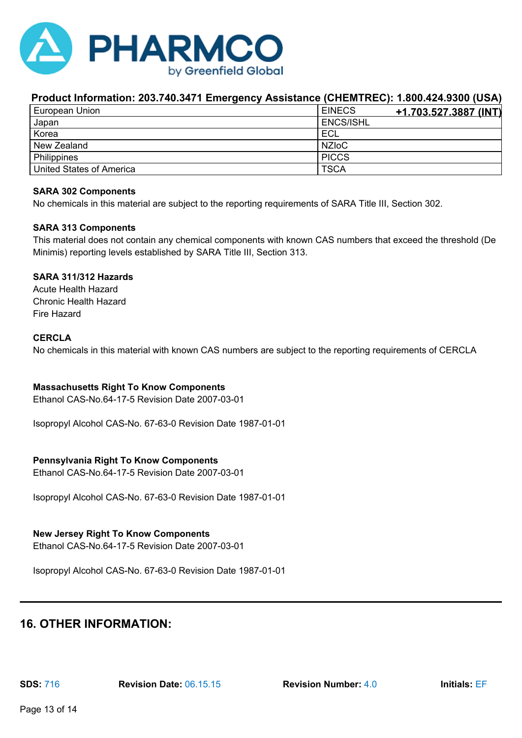

| European Union           | <b>EINECS</b><br><u>+1.703.527.3887 (INT)</u> |
|--------------------------|-----------------------------------------------|
| Japan                    | <b>ENCS/ISHL</b>                              |
| Korea                    | ECL                                           |
| New Zealand              | <b>NZIOC</b>                                  |
| Philippines              | <b>PICCS</b>                                  |
| United States of America | <b>TSCA</b>                                   |

#### **SARA 302 Components**

No chemicals in this material are subject to the reporting requirements of SARA Title III, Section 302.

#### **SARA 313 Components**

This material does not contain any chemical components with known CAS numbers that exceed the threshold (De Minimis) reporting levels established by SARA Title III, Section 313.

#### **SARA 311/312 Hazards**

Acute Health Hazard Chronic Health Hazard Fire Hazard

#### **CERCLA**

No chemicals in this material with known CAS numbers are subject to the reporting requirements of CERCLA

#### **Massachusetts Right To Know Components**

Ethanol CAS-No.64-17-5 Revision Date 2007-03-01

Isopropyl Alcohol CAS-No. 67-63-0 Revision Date 1987-01-01

#### **Pennsylvania Right To Know Components**

Ethanol CAS-No.64-17-5 Revision Date 2007-03-01

Isopropyl Alcohol CAS-No. 67-63-0 Revision Date 1987-01-01

#### **New Jersey Right To Know Components**

Ethanol CAS-No.64-17-5 Revision Date 2007-03-01

Isopropyl Alcohol CAS-No. 67-63-0 Revision Date 1987-01-01

### **16. OTHER INFORMATION:**